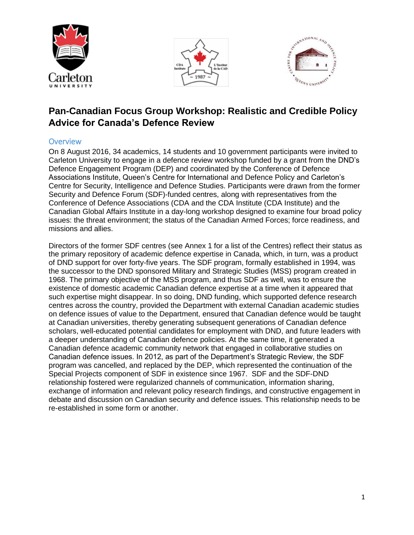





# **Pan-Canadian Focus Group Workshop: Realistic and Credible Policy Advice for Canada's Defence Review**

#### <span id="page-0-0"></span>**Overview**

On 8 August 2016, 34 academics, 14 students and 10 government participants were invited to Carleton University to engage in a defence review workshop funded by a grant from the DND's Defence Engagement Program (DEP) and coordinated by the Conference of Defence Associations Institute, Queen's Centre for International and Defence Policy and Carleton's Centre for Security, Intelligence and Defence Studies. Participants were drawn from the former Security and Defence Forum (SDF)-funded centres, along with representatives from the Conference of Defence Associations (CDA and the CDA Institute (CDA Institute) and the Canadian Global Affairs Institute in a day-long workshop designed to examine four broad policy issues: the threat environment; the status of the Canadian Armed Forces; force readiness, and missions and allies.

Directors of the former SDF centres (see Annex 1 for a list of the Centres) reflect their status as the primary repository of academic defence expertise in Canada, which, in turn, was a product of DND support for over forty-five years. The SDF program, formally established in 1994, was the successor to the DND sponsored Military and Strategic Studies (MSS) program created in 1968. The primary objective of the MSS program, and thus SDF as well, was to ensure the existence of domestic academic Canadian defence expertise at a time when it appeared that such expertise might disappear. In so doing, DND funding, which supported defence research centres across the country, provided the Department with external Canadian academic studies on defence issues of value to the Department, ensured that Canadian defence would be taught at Canadian universities, thereby generating subsequent generations of Canadian defence scholars, well-educated potential candidates for employment with DND, and future leaders with a deeper understanding of Canadian defence policies. At the same time, it generated a Canadian defence academic community network that engaged in collaborative studies on Canadian defence issues. In 2012, as part of the Department's Strategic Review, the SDF program was cancelled, and replaced by the DEP, which represented the continuation of the Special Projects component of SDF in existence since 1967. SDF and the SDF-DND relationship fostered were regularized channels of communication, information sharing, exchange of information and relevant policy research findings, and constructive engagement in debate and discussion on Canadian security and defence issues. This relationship needs to be re-established in some form or another.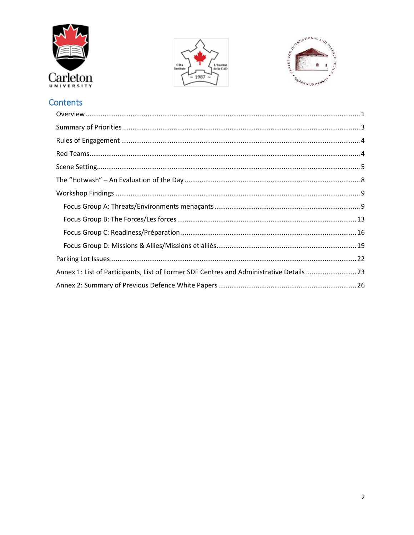





# Contents

| Annex 1: List of Participants, List of Former SDF Centres and Administrative Details 23 |  |
|-----------------------------------------------------------------------------------------|--|
|                                                                                         |  |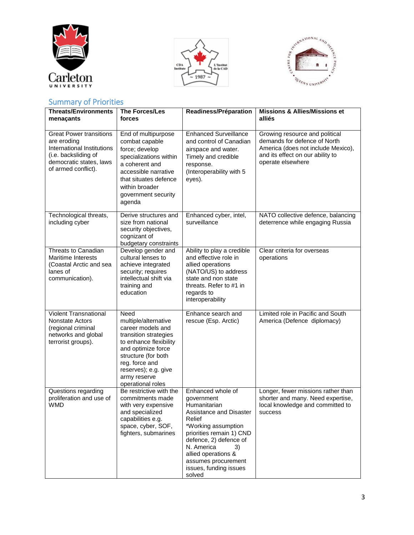





# <span id="page-2-0"></span>Summary of Priorities

| <b>Threats/Environments</b><br>menaçants                                                                                                              | <b>The Forces/Les</b><br>forces                                                                                                                                                                                                  | Readiness/Préparation                                                                                                                                                                                                                                                   | <b>Missions &amp; Allies/Missions et</b><br>alliés                                                                                                            |
|-------------------------------------------------------------------------------------------------------------------------------------------------------|----------------------------------------------------------------------------------------------------------------------------------------------------------------------------------------------------------------------------------|-------------------------------------------------------------------------------------------------------------------------------------------------------------------------------------------------------------------------------------------------------------------------|---------------------------------------------------------------------------------------------------------------------------------------------------------------|
| <b>Great Power transitions</b><br>are eroding<br>International Institutions<br>(i.e. backsliding of<br>democratic states, laws<br>of armed conflict). | End of multipurpose<br>combat capable<br>force; develop<br>specializations within<br>a coherent and<br>accessible narrative<br>that situates defence<br>within broader<br>government security<br>agenda                          | <b>Enhanced Surveillance</b><br>and control of Canadian<br>airspace and water.<br>Timely and credible<br>response.<br>(Interoperability with 5<br>eyes).                                                                                                                | Growing resource and political<br>demands for defence of North<br>America (does not include Mexico),<br>and its effect on our ability to<br>operate elsewhere |
| Technological threats,<br>including cyber                                                                                                             | Derive structures and<br>size from national<br>security objectives,<br>cognizant of<br>budgetary constraints                                                                                                                     | Enhanced cyber, intel,<br>surveillance                                                                                                                                                                                                                                  | NATO collective defence, balancing<br>deterrence while engaging Russia                                                                                        |
| Threats to Canadian<br>Maritime Interests<br>(Coastal Arctic and sea<br>lanes of<br>communication).                                                   | Develop gender and<br>cultural lenses to<br>achieve integrated<br>security; requires<br>intellectual shift via<br>training and<br>education                                                                                      | Ability to play a credible<br>and effective role in<br>allied operations<br>(NATO/US) to address<br>state and non state<br>threats. Refer to #1 in<br>regards to<br>interoperability                                                                                    | Clear criteria for overseas<br>operations                                                                                                                     |
| Violent Transnational<br><b>Nonstate Actors</b><br>(regional criminal<br>networks and global<br>terrorist groups).                                    | Need<br>multiple/alternative<br>career models and<br>transition strategies<br>to enhance flexibility<br>and optimize force<br>structure (for both<br>reg. force and<br>reserves); e.g. give<br>army reserve<br>operational roles | Enhance search and<br>rescue (Esp. Arctic)                                                                                                                                                                                                                              | Limited role in Pacific and South<br>America (Defence diplomacy)                                                                                              |
| Questions regarding<br>proliferation and use of<br><b>WMD</b>                                                                                         | Be restrictive with the<br>commitments made<br>with very expensive<br>and specialized<br>capabilities e.g.<br>space, cyber, SOF,<br>fighters, submarines                                                                         | Enhanced whole of<br>government<br>Humanitarian<br>Assistance and Disaster<br>Relief<br>*Working assumption<br>priorities remain 1) CND<br>defence, 2) defence of<br>N. America<br>3)<br>allied operations &<br>assumes procurement<br>issues, funding issues<br>solved | Longer, fewer missions rather than<br>shorter and many. Need expertise,<br>local knowledge and committed to<br>success                                        |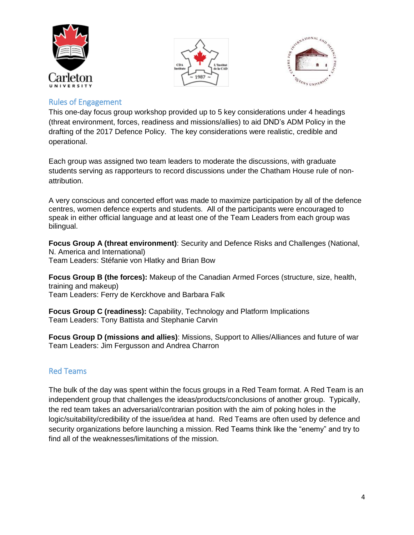





#### <span id="page-3-0"></span>Rules of Engagement

This one-day focus group workshop provided up to 5 key considerations under 4 headings (threat environment, forces, readiness and missions/allies) to aid DND's ADM Policy in the drafting of the 2017 Defence Policy. The key considerations were realistic, credible and operational.

Each group was assigned two team leaders to moderate the discussions, with graduate students serving as rapporteurs to record discussions under the Chatham House rule of nonattribution.

A very conscious and concerted effort was made to maximize participation by all of the defence centres, women defence experts and students. All of the participants were encouraged to speak in either official language and at least one of the Team Leaders from each group was bilingual.

**Focus Group A (threat environment)**: Security and Defence Risks and Challenges (National, N. America and International) Team Leaders: Stéfanie von Hlatky and Brian Bow

**Focus Group B (the forces):** Makeup of the Canadian Armed Forces (structure, size, health, training and makeup) Team Leaders: Ferry de Kerckhove and Barbara Falk

**Focus Group C (readiness):** Capability, Technology and Platform Implications Team Leaders: Tony Battista and Stephanie Carvin

**Focus Group D (missions and allies)**: Missions, Support to Allies/Alliances and future of war Team Leaders: Jim Fergusson and Andrea Charron

### <span id="page-3-1"></span>Red Teams

The bulk of the day was spent within the focus groups in a Red Team format. A Red Team is an independent group that challenges the ideas/products/conclusions of another group. Typically, the red team takes an adversarial/contrarian position with the aim of poking holes in the logic/suitability/credibility of the issue/idea at hand. Red Teams are often used by defence and security organizations before launching a mission. Red Teams think like the "enemy" and try to find all of the weaknesses/limitations of the mission.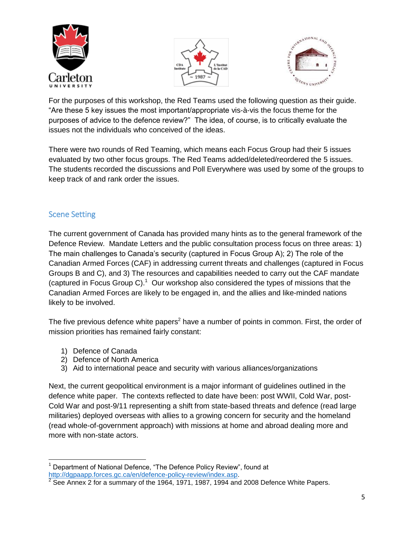





For the purposes of this workshop, the Red Teams used the following question as their guide. "Are these 5 key issues the most important/appropriate vis-à-vis the focus theme for the purposes of advice to the defence review?" The idea, of course, is to critically evaluate the issues not the individuals who conceived of the ideas.

There were two rounds of Red Teaming, which means each Focus Group had their 5 issues evaluated by two other focus groups. The Red Teams added/deleted/reordered the 5 issues. The students recorded the discussions and Poll Everywhere was used by some of the groups to keep track of and rank order the issues.

# <span id="page-4-0"></span>Scene Setting

The current government of Canada has provided many hints as to the general framework of the Defence Review. Mandate Letters and the public consultation process focus on three areas: 1) The main challenges to Canada's security (captured in Focus Group A); 2) The role of the Canadian Armed Forces (CAF) in addressing current threats and challenges (captured in Focus Groups B and C), and 3) The resources and capabilities needed to carry out the CAF mandate (captured in Focus Group C). $1$  Our workshop also considered the types of missions that the Canadian Armed Forces are likely to be engaged in, and the allies and like-minded nations likely to be involved.

The five previous defence white papers<sup>2</sup> have a number of points in common. First, the order of mission priorities has remained fairly constant:

- 1) Defence of Canada
- 2) Defence of North America
- 3) Aid to international peace and security with various alliances/organizations

Next, the current geopolitical environment is a major informant of guidelines outlined in the defence white paper. The contexts reflected to date have been: post WWII, Cold War, post-Cold War and post-9/11 representing a shift from state-based threats and defence (read large militaries) deployed overseas with allies to a growing concern for security and the homeland (read whole-of-government approach) with missions at home and abroad dealing more and more with non-state actors.

 $\overline{\phantom{a}}$ Department of National Defence, "The Defence Policy Review", found at [http://dgpaapp.forces.gc.ca/en/defence-policy-review/index.asp.](http://dgpaapp.forces.gc.ca/en/defence-policy-review/index.asp)<br>2 See Appex 3 for a summary of the 1964, 1971, 1987, 1994 and

See Annex 2 for a summary of the 1964, 1971, 1987, 1994 and 2008 Defence White Papers.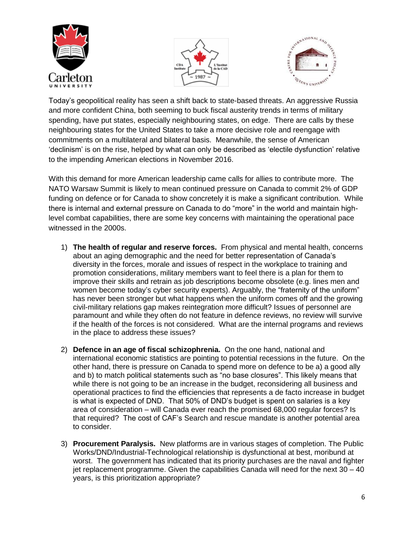





Today's geopolitical reality has seen a shift back to state-based threats. An aggressive Russia and more confident China, both seeming to buck fiscal austerity trends in terms of military spending, have put states, especially neighbouring states, on edge. There are calls by these neighbouring states for the United States to take a more decisive role and reengage with commitments on a multilateral and bilateral basis. Meanwhile, the sense of American 'declinism' is on the rise, helped by what can only be described as 'electile dysfunction' relative to the impending American elections in November 2016.

With this demand for more American leadership came calls for allies to contribute more. The NATO Warsaw Summit is likely to mean continued pressure on Canada to commit 2% of GDP funding on defence or for Canada to show concretely it is make a significant contribution. While there is internal and external pressure on Canada to do "more" in the world and maintain highlevel combat capabilities, there are some key concerns with maintaining the operational pace witnessed in the 2000s.

- 1) **The health of regular and reserve forces.** From physical and mental health, concerns about an aging demographic and the need for better representation of Canada's diversity in the forces, morale and issues of respect in the workplace to training and promotion considerations, military members want to feel there is a plan for them to improve their skills and retrain as job descriptions become obsolete (e.g. lines men and women become today's cyber security experts). Arguably, the "fraternity of the uniform" has never been stronger but what happens when the uniform comes off and the growing civil-military relations gap makes reintegration more difficult? Issues of personnel are paramount and while they often do not feature in defence reviews, no review will survive if the health of the forces is not considered. What are the internal programs and reviews in the place to address these issues?
- 2) **Defence in an age of fiscal schizophrenia.** On the one hand, national and international economic statistics are pointing to potential recessions in the future. On the other hand, there is pressure on Canada to spend more on defence to be a) a good ally and b) to match political statements such as "no base closures". This likely means that while there is not going to be an increase in the budget, reconsidering all business and operational practices to find the efficiencies that represents a de facto increase in budget is what is expected of DND. That 50% of DND's budget is spent on salaries is a key area of consideration – will Canada ever reach the promised 68,000 regular forces? Is that required? The cost of CAF's Search and rescue mandate is another potential area to consider.
- 3) **Procurement Paralysis.** New platforms are in various stages of completion. The Public Works/DND/Industrial-Technological relationship is dysfunctional at best, moribund at worst. The government has indicated that its priority purchases are the naval and fighter jet replacement programme. Given the capabilities Canada will need for the next 30 – 40 years, is this prioritization appropriate?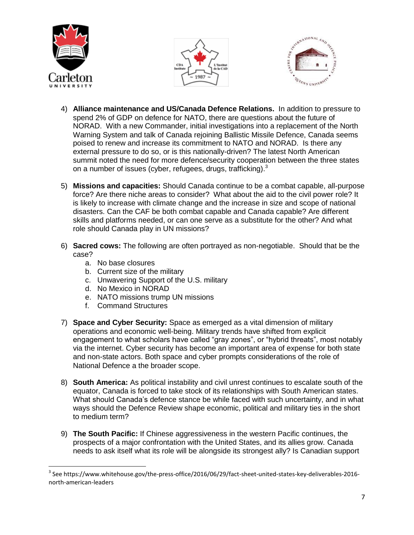





- 4) **Alliance maintenance and US/Canada Defence Relations.** In addition to pressure to spend 2% of GDP on defence for NATO, there are questions about the future of NORAD. With a new Commander, initial investigations into a replacement of the North Warning System and talk of Canada rejoining Ballistic Missile Defence, Canada seems poised to renew and increase its commitment to NATO and NORAD. Is there any external pressure to do so, or is this nationally-driven? The latest North American summit noted the need for more defence/security cooperation between the three states on a number of issues (cyber, refugees, drugs, trafficking).<sup>3</sup>
- 5) **Missions and capacities:** Should Canada continue to be a combat capable, all-purpose force? Are there niche areas to consider? What about the aid to the civil power role? It is likely to increase with climate change and the increase in size and scope of national disasters. Can the CAF be both combat capable and Canada capable? Are different skills and platforms needed, or can one serve as a substitute for the other? And what role should Canada play in UN missions?
- 6) **Sacred cows:** The following are often portrayed as non-negotiable. Should that be the case?
	- a. No base closures
	- b. Current size of the military
	- c. Unwavering Support of the U.S. military
	- d. No Mexico in NORAD
	- e. NATO missions trump UN missions
	- f. Command Structures
- 7) **Space and Cyber Security:** Space as emerged as a vital dimension of military operations and economic well-being. Military trends have shifted from explicit engagement to what scholars have called "gray zones", or "hybrid threats", most notably via the internet. Cyber security has become an important area of expense for both state and non-state actors. Both space and cyber prompts considerations of the role of National Defence a the broader scope.
- 8) **South America:** As political instability and civil unrest continues to escalate south of the equator, Canada is forced to take stock of its relationships with South American states. What should Canada's defence stance be while faced with such uncertainty, and in what ways should the Defence Review shape economic, political and military ties in the short to medium term?
- 9) **The South Pacific:** If Chinese aggressiveness in the western Pacific continues, the prospects of a major confrontation with the United States, and its allies grow. Canada needs to ask itself what its role will be alongside its strongest ally? Is Canadian support

l  $^3$  See https://www.whitehouse.gov/the-press-office/2016/06/29/fact-sheet-united-states-key-deliverables-2016north-american-leaders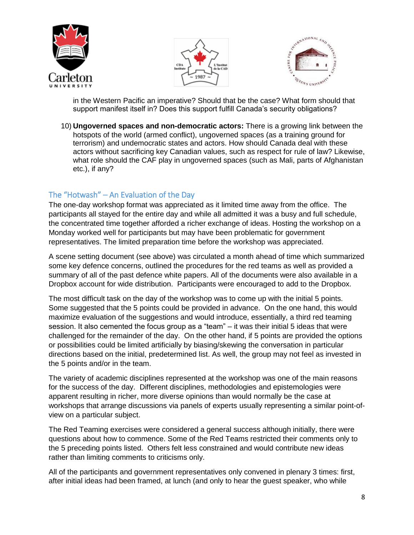





in the Western Pacific an imperative? Should that be the case? What form should that support manifest itself in? Does this support fulfill Canada's security obligations?

10) **Ungoverned spaces and non-democratic actors:** There is a growing link between the hotspots of the world (armed conflict), ungoverned spaces (as a training ground for terrorism) and undemocratic states and actors. How should Canada deal with these actors without sacrificing key Canadian values, such as respect for rule of law? Likewise, what role should the CAF play in ungoverned spaces (such as Mali, parts of Afghanistan etc.), if any?

# <span id="page-7-0"></span>The "Hotwash" – An Evaluation of the Day

The one-day workshop format was appreciated as it limited time away from the office. The participants all stayed for the entire day and while all admitted it was a busy and full schedule, the concentrated time together afforded a richer exchange of ideas. Hosting the workshop on a Monday worked well for participants but may have been problematic for government representatives. The limited preparation time before the workshop was appreciated.

A scene setting document (see above) was circulated a month ahead of time which summarized some key defence concerns, outlined the procedures for the red teams as well as provided a summary of all of the past defence white papers. All of the documents were also available in a Dropbox account for wide distribution. Participants were encouraged to add to the Dropbox.

The most difficult task on the day of the workshop was to come up with the initial 5 points. Some suggested that the 5 points could be provided in advance. On the one hand, this would maximize evaluation of the suggestions and would introduce, essentially, a third red teaming session. It also cemented the focus group as a "team" – it was their initial 5 ideas that were challenged for the remainder of the day. On the other hand, if 5 points are provided the options or possibilities could be limited artificially by biasing/skewing the conversation in particular directions based on the initial, predetermined list. As well, the group may not feel as invested in the 5 points and/or in the team.

The variety of academic disciplines represented at the workshop was one of the main reasons for the success of the day. Different disciplines, methodologies and epistemologies were apparent resulting in richer, more diverse opinions than would normally be the case at workshops that arrange discussions via panels of experts usually representing a similar point-ofview on a particular subject.

The Red Teaming exercises were considered a general success although initially, there were questions about how to commence. Some of the Red Teams restricted their comments only to the 5 preceding points listed. Others felt less constrained and would contribute new ideas rather than limiting comments to criticisms only.

All of the participants and government representatives only convened in plenary 3 times: first, after initial ideas had been framed, at lunch (and only to hear the guest speaker, who while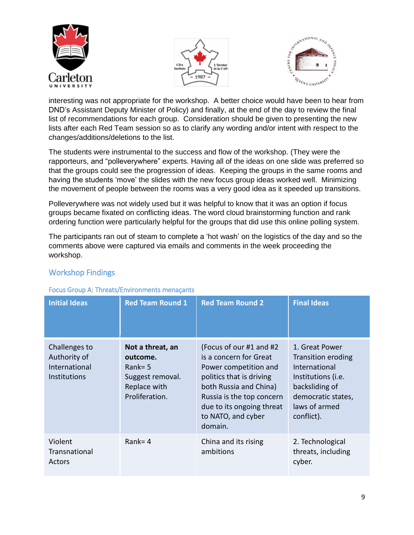





interesting was not appropriate for the workshop. A better choice would have been to hear from DND's Assistant Deputy Minister of Policy) and finally, at the end of the day to review the final list of recommendations for each group. Consideration should be given to presenting the new lists after each Red Team session so as to clarify any wording and/or intent with respect to the changes/additions/deletions to the list.

The students were instrumental to the success and flow of the workshop. (They were the rapporteurs, and "polleverywhere" experts. Having all of the ideas on one slide was preferred so that the groups could see the progression of ideas. Keeping the groups in the same rooms and having the students 'move' the slides with the new focus group ideas worked well. Minimizing the movement of people between the rooms was a very good idea as it speeded up transitions.

Polleverywhere was not widely used but it was helpful to know that it was an option if focus groups became fixated on conflicting ideas. The word cloud brainstorming function and rank ordering function were particularly helpful for the groups that did use this online polling system.

The participants ran out of steam to complete a 'hot wash' on the logistics of the day and so the comments above were captured via emails and comments in the week proceeding the workshop.

| <u>ocas oroap Art innoacy Environments monaçants</u>                  |                                                                                                 |                                                                                                                                                                                                                              |                                                                                                                                                           |  |
|-----------------------------------------------------------------------|-------------------------------------------------------------------------------------------------|------------------------------------------------------------------------------------------------------------------------------------------------------------------------------------------------------------------------------|-----------------------------------------------------------------------------------------------------------------------------------------------------------|--|
| <b>Initial Ideas</b>                                                  | <b>Red Team Round 1</b>                                                                         | <b>Red Team Round 2</b>                                                                                                                                                                                                      | <b>Final Ideas</b>                                                                                                                                        |  |
| Challenges to<br>Authority of<br>International<br><b>Institutions</b> | Not a threat, an<br>outcome.<br>Rank= $5$<br>Suggest removal.<br>Replace with<br>Proliferation. | (Focus of our #1 and #2)<br>is a concern for Great<br>Power competition and<br>politics that is driving<br>both Russia and China)<br>Russia is the top concern<br>due to its ongoing threat<br>to NATO, and cyber<br>domain. | 1. Great Power<br><b>Transition eroding</b><br>International<br>Institutions (i.e.<br>backsliding of<br>democratic states,<br>laws of armed<br>conflict). |  |
| Violent<br>Transnational<br>Actors                                    | Rank= $4$                                                                                       | China and its rising<br>ambitions                                                                                                                                                                                            | 2. Technological<br>threats, including<br>cyber.                                                                                                          |  |

### <span id="page-8-0"></span>Workshop Findings

#### <span id="page-8-1"></span>Focus Group A: Threats/Environments menaçants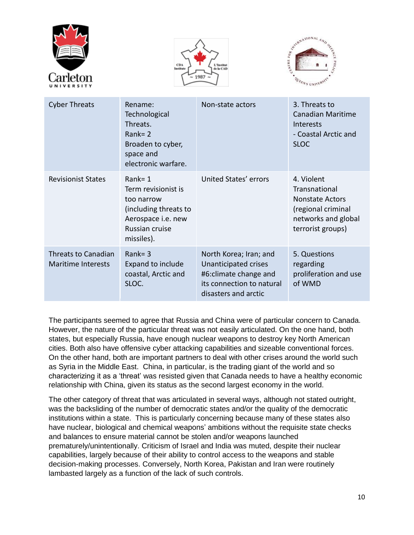





| <b>Cyber Threats</b>                      | Rename:<br>Technological<br>Threats.<br>$Rank = 2$<br>Broaden to cyber,<br>space and<br>electronic warfare.                    | Non-state actors                                                                                                              | 3. Threats to<br><b>Canadian Maritime</b><br><b>Interests</b><br>- Coastal Arctic and<br><b>SLOC</b>                    |
|-------------------------------------------|--------------------------------------------------------------------------------------------------------------------------------|-------------------------------------------------------------------------------------------------------------------------------|-------------------------------------------------------------------------------------------------------------------------|
| <b>Revisionist States</b>                 | $Rank = 1$<br>Term revisionist is<br>too narrow<br>(including threats to<br>Aerospace i.e. new<br>Russian cruise<br>missiles). | United States' errors                                                                                                         | 4. Violent<br>Transnational<br><b>Nonstate Actors</b><br>(regional criminal<br>networks and global<br>terrorist groups) |
| Threats to Canadian<br>Maritime Interests | $Rank = 3$<br>Expand to include<br>coastal, Arctic and<br>SLOC.                                                                | North Korea; Iran; and<br>Unanticipated crises<br>#6: climate change and<br>its connection to natural<br>disasters and arctic | 5. Questions<br>regarding<br>proliferation and use<br>of WMD                                                            |

The participants seemed to agree that Russia and China were of particular concern to Canada. However, the nature of the particular threat was not easily articulated. On the one hand, both states, but especially Russia, have enough nuclear weapons to destroy key North American cities. Both also have offensive cyber attacking capabilities and sizeable conventional forces. On the other hand, both are important partners to deal with other crises around the world such as Syria in the Middle East. China, in particular, is the trading giant of the world and so characterizing it as a 'threat' was resisted given that Canada needs to have a healthy economic relationship with China, given its status as the second largest economy in the world.

The other category of threat that was articulated in several ways, although not stated outright, was the backsliding of the number of democratic states and/or the quality of the democratic institutions within a state. This is particularly concerning because many of these states also have nuclear, biological and chemical weapons' ambitions without the requisite state checks and balances to ensure material cannot be stolen and/or weapons launched prematurely/unintentionally. Criticism of Israel and India was muted, despite their nuclear capabilities, largely because of their ability to control access to the weapons and stable decision-making processes. Conversely, North Korea, Pakistan and Iran were routinely lambasted largely as a function of the lack of such controls.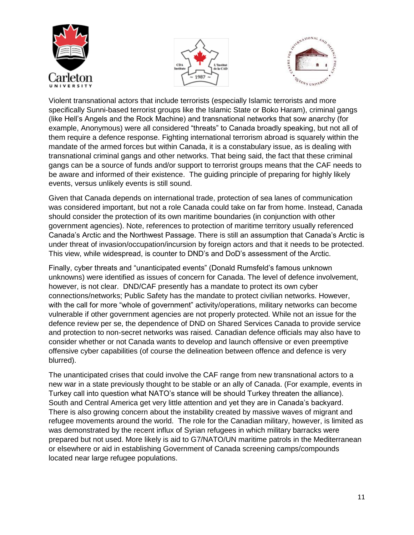





Violent transnational actors that include terrorists (especially Islamic terrorists and more specifically Sunni-based terrorist groups like the Islamic State or Boko Haram), criminal gangs (like Hell's Angels and the Rock Machine) and transnational networks that sow anarchy (for example, Anonymous) were all considered "threats" to Canada broadly speaking, but not all of them require a defence response. Fighting international terrorism abroad is squarely within the mandate of the armed forces but within Canada, it is a constabulary issue, as is dealing with transnational criminal gangs and other networks. That being said, the fact that these criminal gangs can be a source of funds and/or support to terrorist groups means that the CAF needs to be aware and informed of their existence. The guiding principle of preparing for highly likely events, versus unlikely events is still sound.

Given that Canada depends on international trade, protection of sea lanes of communication was considered important, but not a role Canada could take on far from home. Instead, Canada should consider the protection of its own maritime boundaries (in conjunction with other government agencies). Note, references to protection of maritime territory usually referenced Canada's Arctic and the Northwest Passage. There is still an assumption that Canada's Arctic is under threat of invasion/occupation/incursion by foreign actors and that it needs to be protected. This view, while widespread, is counter to DND's and DoD's assessment of the Arctic.

Finally, cyber threats and "unanticipated events" (Donald Rumsfeld's famous unknown unknowns) were identified as issues of concern for Canada. The level of defence involvement, however, is not clear. DND/CAF presently has a mandate to protect its own cyber connections/networks; Public Safety has the mandate to protect civilian networks. However, with the call for more "whole of government" activity/operations, military networks can become vulnerable if other government agencies are not properly protected. While not an issue for the defence review per se, the dependence of DND on Shared Services Canada to provide service and protection to non-secret networks was raised. Canadian defence officials may also have to consider whether or not Canada wants to develop and launch offensive or even preemptive offensive cyber capabilities (of course the delineation between offence and defence is very blurred).

The unanticipated crises that could involve the CAF range from new transnational actors to a new war in a state previously thought to be stable or an ally of Canada. (For example, events in Turkey call into question what NATO's stance will be should Turkey threaten the alliance). South and Central America get very little attention and yet they are in Canada's backyard. There is also growing concern about the instability created by massive waves of migrant and refugee movements around the world. The role for the Canadian military, however, is limited as was demonstrated by the recent influx of Syrian refugees in which military barracks were prepared but not used. More likely is aid to G7/NATO/UN maritime patrols in the Mediterranean or elsewhere or aid in establishing Government of Canada screening camps/compounds located near large refugee populations.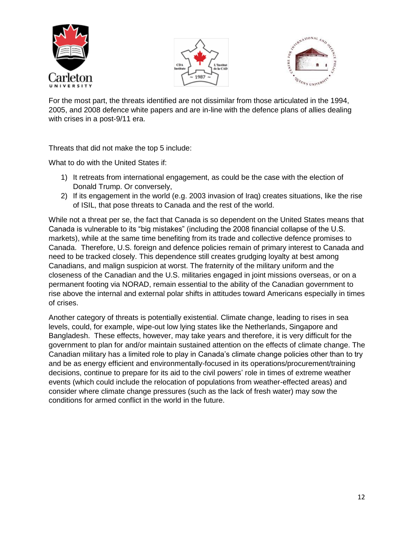





For the most part, the threats identified are not dissimilar from those articulated in the 1994, 2005, and 2008 defence white papers and are in-line with the defence plans of allies dealing with crises in a post-9/11 era.

Threats that did not make the top 5 include:

What to do with the United States if:

- 1) It retreats from international engagement, as could be the case with the election of Donald Trump. Or conversely,
- 2) If its engagement in the world (e.g. 2003 invasion of Iraq) creates situations, like the rise of ISIL, that pose threats to Canada and the rest of the world.

While not a threat per se, the fact that Canada is so dependent on the United States means that Canada is vulnerable to its "big mistakes" (including the 2008 financial collapse of the U.S. markets), while at the same time benefiting from its trade and collective defence promises to Canada. Therefore, U.S. foreign and defence policies remain of primary interest to Canada and need to be tracked closely. This dependence still creates grudging loyalty at best among Canadians, and malign suspicion at worst. The fraternity of the military uniform and the closeness of the Canadian and the U.S. militaries engaged in joint missions overseas, or on a permanent footing via NORAD, remain essential to the ability of the Canadian government to rise above the internal and external polar shifts in attitudes toward Americans especially in times of crises.

Another category of threats is potentially existential. Climate change, leading to rises in sea levels, could, for example, wipe-out low lying states like the Netherlands, Singapore and Bangladesh. These effects, however, may take years and therefore, it is very difficult for the government to plan for and/or maintain sustained attention on the effects of climate change. The Canadian military has a limited role to play in Canada's climate change policies other than to try and be as energy efficient and environmentally-focused in its operations/procurement/training decisions, continue to prepare for its aid to the civil powers' role in times of extreme weather events (which could include the relocation of populations from weather-effected areas) and consider where climate change pressures (such as the lack of fresh water) may sow the conditions for armed conflict in the world in the future.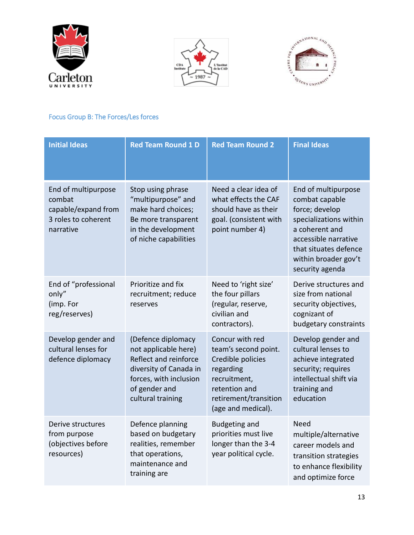





# <span id="page-12-0"></span>Focus Group B: The Forces/Les forces

| <b>Initial Ideas</b>                                                                     | <b>Red Team Round 1 D</b>                                                                                                                                     | <b>Red Team Round 2</b>                                                                                                                                   | <b>Final Ideas</b>                                                                                                                                                                              |
|------------------------------------------------------------------------------------------|---------------------------------------------------------------------------------------------------------------------------------------------------------------|-----------------------------------------------------------------------------------------------------------------------------------------------------------|-------------------------------------------------------------------------------------------------------------------------------------------------------------------------------------------------|
| End of multipurpose<br>combat<br>capable/expand from<br>3 roles to coherent<br>narrative | Stop using phrase<br>"multipurpose" and<br>make hard choices;<br>Be more transparent<br>in the development<br>of niche capabilities                           | Need a clear idea of<br>what effects the CAF<br>should have as their<br>goal. (consistent with<br>point number 4)                                         | End of multipurpose<br>combat capable<br>force; develop<br>specializations within<br>a coherent and<br>accessible narrative<br>that situates defence<br>within broader gov't<br>security agenda |
| End of "professional<br>only"<br>(imp. For<br>reg/reserves)                              | Prioritize and fix<br>recruitment; reduce<br>reserves                                                                                                         | Need to 'right size'<br>the four pillars<br>(regular, reserve,<br>civilian and<br>contractors).                                                           | Derive structures and<br>size from national<br>security objectives,<br>cognizant of<br>budgetary constraints                                                                                    |
| Develop gender and<br>cultural lenses for<br>defence diplomacy                           | (Defence diplomacy<br>not applicable here)<br>Reflect and reinforce<br>diversity of Canada in<br>forces, with inclusion<br>of gender and<br>cultural training | Concur with red<br>team's second point.<br>Credible policies<br>regarding<br>recruitment,<br>retention and<br>retirement/transition<br>(age and medical). | Develop gender and<br>cultural lenses to<br>achieve integrated<br>security; requires<br>intellectual shift via<br>training and<br>education                                                     |
| Derive structures<br>from purpose<br>(objectives before<br>resources)                    | Defence planning<br>based on budgetary<br>realities, remember<br>that operations,<br>maintenance and<br>training are                                          | <b>Budgeting and</b><br>priorities must live<br>longer than the 3-4<br>year political cycle.                                                              | Need<br>multiple/alternative<br>career models and<br>transition strategies<br>to enhance flexibility<br>and optimize force                                                                      |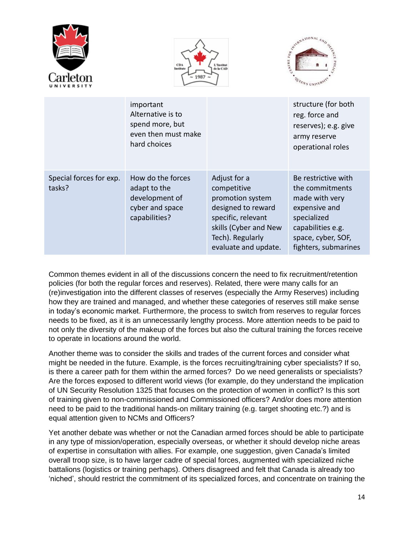





|                                   | important<br>Alternative is to<br>spend more, but<br>even then must make<br>hard choices |                                                                                                                                                                  | structure (for both<br>reg. force and<br>reserves); e.g. give<br>army reserve<br>operational roles                                                          |
|-----------------------------------|------------------------------------------------------------------------------------------|------------------------------------------------------------------------------------------------------------------------------------------------------------------|-------------------------------------------------------------------------------------------------------------------------------------------------------------|
| Special forces for exp.<br>tasks? | How do the forces<br>adapt to the<br>development of<br>cyber and space<br>capabilities?  | Adjust for a<br>competitive<br>promotion system<br>designed to reward<br>specific, relevant<br>skills (Cyber and New<br>Tech). Regularly<br>evaluate and update. | Be restrictive with<br>the commitments<br>made with very<br>expensive and<br>specialized<br>capabilities e.g.<br>space, cyber, SOF,<br>fighters, submarines |

Common themes evident in all of the discussions concern the need to fix recruitment/retention policies (for both the regular forces and reserves). Related, there were many calls for an (re)investigation into the different classes of reserves (especially the Army Reserves) including how they are trained and managed, and whether these categories of reserves still make sense in today's economic market. Furthermore, the process to switch from reserves to regular forces needs to be fixed, as it is an unnecessarily lengthy process. More attention needs to be paid to not only the diversity of the makeup of the forces but also the cultural training the forces receive to operate in locations around the world.

Another theme was to consider the skills and trades of the current forces and consider what might be needed in the future. Example, is the forces recruiting/training cyber specialists? If so, is there a career path for them within the armed forces? Do we need generalists or specialists? Are the forces exposed to different world views (for example, do they understand the implication of UN Security Resolution 1325 that focuses on the protection of women in conflict? Is this sort of training given to non-commissioned and Commissioned officers? And/or does more attention need to be paid to the traditional hands-on military training (e.g. target shooting etc.?) and is equal attention given to NCMs and Officers?

Yet another debate was whether or not the Canadian armed forces should be able to participate in any type of mission/operation, especially overseas, or whether it should develop niche areas of expertise in consultation with allies. For example, one suggestion, given Canada's limited overall troop size, is to have larger cadre of special forces, augmented with specialized niche battalions (logistics or training perhaps). Others disagreed and felt that Canada is already too 'niched', should restrict the commitment of its specialized forces, and concentrate on training the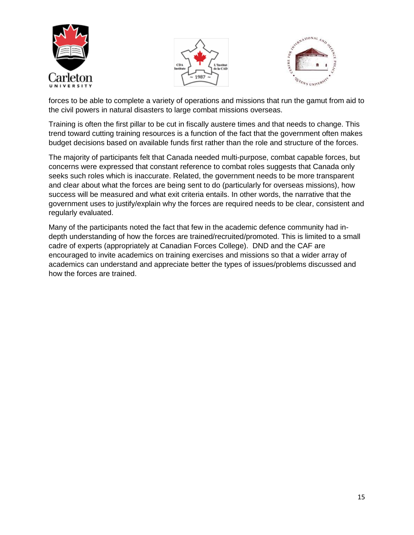





forces to be able to complete a variety of operations and missions that run the gamut from aid to the civil powers in natural disasters to large combat missions overseas.

Training is often the first pillar to be cut in fiscally austere times and that needs to change. This trend toward cutting training resources is a function of the fact that the government often makes budget decisions based on available funds first rather than the role and structure of the forces.

The majority of participants felt that Canada needed multi-purpose, combat capable forces, but concerns were expressed that constant reference to combat roles suggests that Canada only seeks such roles which is inaccurate. Related, the government needs to be more transparent and clear about what the forces are being sent to do (particularly for overseas missions), how success will be measured and what exit criteria entails. In other words, the narrative that the government uses to justify/explain why the forces are required needs to be clear, consistent and regularly evaluated.

Many of the participants noted the fact that few in the academic defence community had indepth understanding of how the forces are trained/recruited/promoted. This is limited to a small cadre of experts (appropriately at Canadian Forces College). DND and the CAF are encouraged to invite academics on training exercises and missions so that a wider array of academics can understand and appreciate better the types of issues/problems discussed and how the forces are trained.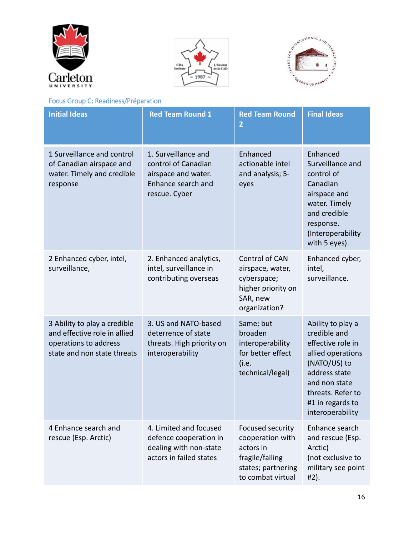





# <span id="page-15-0"></span>Focus Group C: Readiness/Préparation

| <b>Initial Ideas</b>                                                                                                 | <b>Red Team Round 1</b>                                                                                  | <b>Red Team Round</b><br>$\overline{2}$                                                                         | <b>Final Ideas</b>                                                                                                                                                                         |
|----------------------------------------------------------------------------------------------------------------------|----------------------------------------------------------------------------------------------------------|-----------------------------------------------------------------------------------------------------------------|--------------------------------------------------------------------------------------------------------------------------------------------------------------------------------------------|
| 1 Surveillance and control<br>of Canadian airspace and<br>water. Timely and credible<br>response                     | 1. Surveillance and<br>control of Canadian<br>airspace and water.<br>Enhance search and<br>rescue. Cyber | Enhanced<br>actionable intel<br>and analysis; 5-<br>eyes                                                        | Enhanced<br>Surveillance and<br>control of<br>Canadian<br>airspace and<br>water. Timely<br>and credible<br>response.<br>(Interoperability<br>with 5 eyes).                                 |
| 2 Enhanced cyber, intel,<br>surveillance,                                                                            | 2. Enhanced analytics,<br>intel, surveillance in<br>contributing overseas                                | Control of CAN<br>airspace, water,<br>cyberspace;<br>higher priority on<br>SAR, new<br>organization?            | Enhanced cyber,<br>intel,<br>surveillance.                                                                                                                                                 |
| 3 Ability to play a credible<br>and effective role in allied<br>operations to address<br>state and non state threats | 3. US and NATO-based<br>deterrence of state<br>threats. High priority on<br>interoperability             | Same; but<br>broaden<br>interoperability<br>for better effect<br>(i.e.<br>technical/legal)                      | Ability to play a<br>credible and<br>effective role in<br>allied operations<br>(NATO/US) to<br>address state<br>and non state<br>threats. Refer to<br>#1 in regards to<br>interoperability |
| 4 Enhance search and<br>rescue (Esp. Arctic)                                                                         | 4. Limited and focused<br>defence cooperation in<br>dealing with non-state<br>actors in failed states    | Focused security<br>cooperation with<br>actors in<br>fragile/failing<br>states; partnering<br>to combat virtual | Enhance search<br>and rescue (Esp.<br>Arctic)<br>(not exclusive to<br>military see point<br>#2).                                                                                           |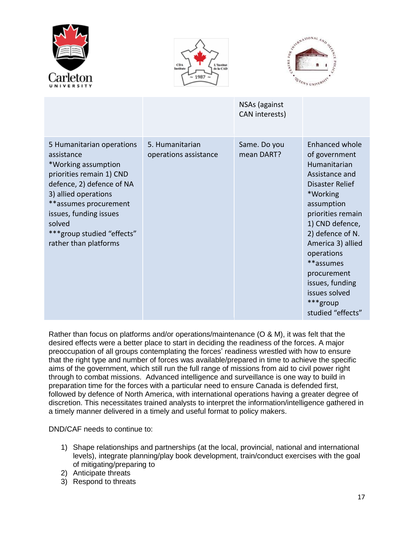





|                                                                                                                                                                                                                                                                     |                                          | NSAs (against<br>CAN interests) |                                                                                                                                                                                                                                                                                                                |
|---------------------------------------------------------------------------------------------------------------------------------------------------------------------------------------------------------------------------------------------------------------------|------------------------------------------|---------------------------------|----------------------------------------------------------------------------------------------------------------------------------------------------------------------------------------------------------------------------------------------------------------------------------------------------------------|
| 5 Humanitarian operations<br>assistance<br>*Working assumption<br>priorities remain 1) CND<br>defence, 2) defence of NA<br>3) allied operations<br>**assumes procurement<br>issues, funding issues<br>solved<br>***group studied "effects"<br>rather than platforms | 5. Humanitarian<br>operations assistance | Same. Do you<br>mean DART?      | Enhanced whole<br>of government<br>Humanitarian<br>Assistance and<br>Disaster Relief<br>*Working<br>assumption<br>priorities remain<br>1) CND defence,<br>2) defence of N.<br>America 3) allied<br>operations<br>**assumes<br>procurement<br>issues, funding<br>issues solved<br>***group<br>studied "effects" |

Rather than focus on platforms and/or operations/maintenance (O & M), it was felt that the desired effects were a better place to start in deciding the readiness of the forces. A major preoccupation of all groups contemplating the forces' readiness wrestled with how to ensure that the right type and number of forces was available/prepared in time to achieve the specific aims of the government, which still run the full range of missions from aid to civil power right through to combat missions. Advanced intelligence and surveillance is one way to build in preparation time for the forces with a particular need to ensure Canada is defended first, followed by defence of North America, with international operations having a greater degree of discretion. This necessitates trained analysts to interpret the information/intelligence gathered in a timely manner delivered in a timely and useful format to policy makers.

DND/CAF needs to continue to:

- 1) Shape relationships and partnerships (at the local, provincial, national and international levels), integrate planning/play book development, train/conduct exercises with the goal of mitigating/preparing to
- 2) Anticipate threats
- 3) Respond to threats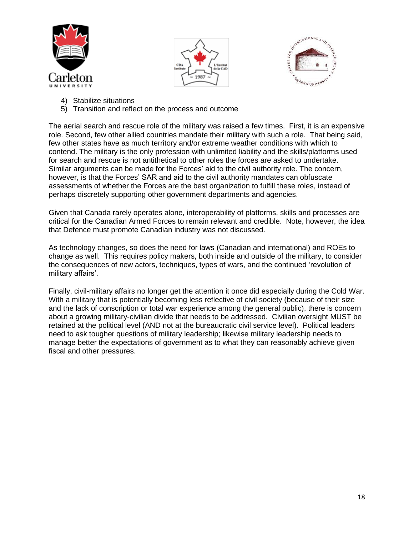





- 4) Stabilize situations
- 5) Transition and reflect on the process and outcome

The aerial search and rescue role of the military was raised a few times. First, it is an expensive role. Second, few other allied countries mandate their military with such a role. That being said, few other states have as much territory and/or extreme weather conditions with which to contend. The military is the only profession with unlimited liability and the skills/platforms used for search and rescue is not antithetical to other roles the forces are asked to undertake. Similar arguments can be made for the Forces' aid to the civil authority role. The concern, however, is that the Forces' SAR and aid to the civil authority mandates can obfuscate assessments of whether the Forces are the best organization to fulfill these roles, instead of perhaps discretely supporting other government departments and agencies.

Given that Canada rarely operates alone, interoperability of platforms, skills and processes are critical for the Canadian Armed Forces to remain relevant and credible. Note, however, the idea that Defence must promote Canadian industry was not discussed.

As technology changes, so does the need for laws (Canadian and international) and ROEs to change as well. This requires policy makers, both inside and outside of the military, to consider the consequences of new actors, techniques, types of wars, and the continued 'revolution of military affairs'.

Finally, civil-military affairs no longer get the attention it once did especially during the Cold War. With a military that is potentially becoming less reflective of civil society (because of their size and the lack of conscription or total war experience among the general public), there is concern about a growing military-civilian divide that needs to be addressed. Civilian oversight MUST be retained at the political level (AND not at the bureaucratic civil service level). Political leaders need to ask tougher questions of military leadership; likewise military leadership needs to manage better the expectations of government as to what they can reasonably achieve given fiscal and other pressures.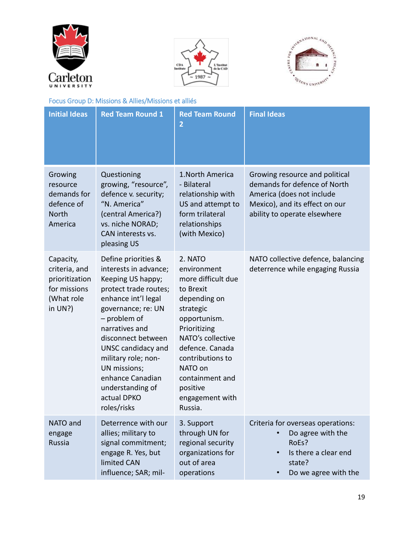





# <span id="page-18-0"></span>Focus Group D: Missions & Allies/Missions et alliés

| <b>Initial Ideas</b>                                                                    | <b>Red Team Round 1</b>                                                                                                                                                                                                                                                                                                            | <b>Red Team Round</b><br>$\overline{2}$                                                                                                                                                                                                                    | <b>Final Ideas</b>                                                                                                                                            |
|-----------------------------------------------------------------------------------------|------------------------------------------------------------------------------------------------------------------------------------------------------------------------------------------------------------------------------------------------------------------------------------------------------------------------------------|------------------------------------------------------------------------------------------------------------------------------------------------------------------------------------------------------------------------------------------------------------|---------------------------------------------------------------------------------------------------------------------------------------------------------------|
| Growing<br>resource<br>demands for<br>defence of<br>North<br>America                    | Questioning<br>growing, "resource",<br>defence v. security;<br>"N. America"<br>(central America?)<br>vs. niche NORAD;<br>CAN interests vs.<br>pleasing US                                                                                                                                                                          | 1. North America<br>- Bilateral<br>relationship with<br>US and attempt to<br>form trilateral<br>relationships<br>(with Mexico)                                                                                                                             | Growing resource and political<br>demands for defence of North<br>America (does not include<br>Mexico), and its effect on our<br>ability to operate elsewhere |
| Capacity,<br>criteria, and<br>prioritization<br>for missions<br>(What role<br>in $UN?)$ | Define priorities &<br>interests in advance;<br>Keeping US happy;<br>protect trade routes;<br>enhance int'l legal<br>governance; re: UN<br>- problem of<br>narratives and<br>disconnect between<br>UNSC candidacy and<br>military role; non-<br>UN missions;<br>enhance Canadian<br>understanding of<br>actual DPKO<br>roles/risks | 2. NATO<br>environment<br>more difficult due<br>to Brexit<br>depending on<br>strategic<br>opportunism.<br>Prioritizing<br>NATO's collective<br>defence. Canada<br>contributions to<br>NATO on<br>containment and<br>positive<br>engagement with<br>Russia. | NATO collective defence, balancing<br>deterrence while engaging Russia                                                                                        |
| NATO and<br>engage<br>Russia                                                            | Deterrence with our<br>allies; military to<br>signal commitment;<br>engage R. Yes, but<br>limited CAN<br>influence; SAR; mil-                                                                                                                                                                                                      | 3. Support<br>through UN for<br>regional security<br>organizations for<br>out of area<br>operations                                                                                                                                                        | Criteria for overseas operations:<br>Do agree with the<br>RoEs?<br>Is there a clear end<br>state?<br>Do we agree with the                                     |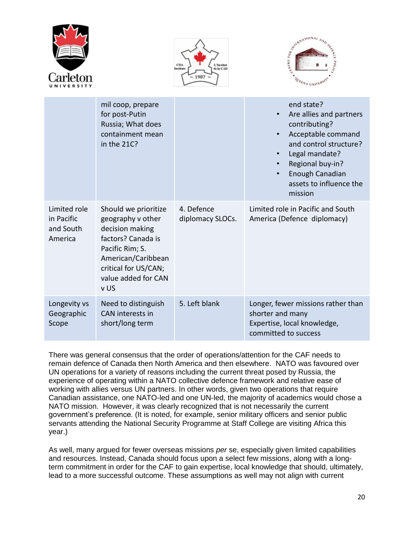





|                                                    | mil coop, prepare<br>for post-Putin<br>Russia; What does<br>containment mean<br>in the 21C?                                                                                        |                                | end state?<br>Are allies and partners<br>$\bullet$<br>contributing?<br>Acceptable command<br>and control structure?<br>Legal mandate?<br>Regional buy-in?<br>Enough Canadian<br>assets to influence the<br>mission |
|----------------------------------------------------|------------------------------------------------------------------------------------------------------------------------------------------------------------------------------------|--------------------------------|--------------------------------------------------------------------------------------------------------------------------------------------------------------------------------------------------------------------|
| Limited role<br>in Pacific<br>and South<br>America | Should we prioritize<br>geography v other<br>decision making<br>factors? Canada is<br>Pacific Rim; S.<br>American/Caribbean<br>critical for US/CAN;<br>value added for CAN<br>v US | 4. Defence<br>diplomacy SLOCs. | Limited role in Pacific and South<br>America (Defence diplomacy)                                                                                                                                                   |
| Longevity vs<br>Geographic<br>Scope                | Need to distinguish<br><b>CAN</b> interests in<br>short/long term                                                                                                                  | 5. Left blank                  | Longer, fewer missions rather than<br>shorter and many<br>Expertise, local knowledge,<br>committed to success                                                                                                      |

There was general consensus that the order of operations/attention for the CAF needs to remain defence of Canada then North America and then elsewhere. NATO was favoured over UN operations for a variety of reasons including the current threat posed by Russia, the experience of operating within a NATO collective defence framework and relative ease of working with allies versus UN partners. In other words, given two operations that require Canadian assistance, one NATO-led and one UN-led, the majority of academics would chose a NATO mission. However, it was clearly recognized that is not necessarily the current government's preference. (It is noted, for example, senior military officers and senior public servants attending the National Security Programme at Staff College are visiting Africa this year.)

As well, many argued for fewer overseas missions *per* se, especially given limited capabilities and resources. Instead, Canada should focus upon a select few missions, along with a longterm commitment in order for the CAF to gain expertise, local knowledge that should, ultimately, lead to a more successful outcome. These assumptions as well may not align with current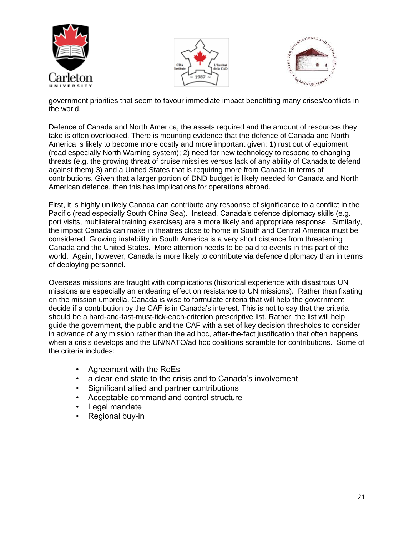





government priorities that seem to favour immediate impact benefitting many crises/conflicts in the world.

Defence of Canada and North America, the assets required and the amount of resources they take is often overlooked. There is mounting evidence that the defence of Canada and North America is likely to become more costly and more important given: 1) rust out of equipment (read especially North Warning system); 2) need for new technology to respond to changing threats (e.g. the growing threat of cruise missiles versus lack of any ability of Canada to defend against them) 3) and a United States that is requiring more from Canada in terms of contributions. Given that a larger portion of DND budget is likely needed for Canada and North American defence, then this has implications for operations abroad.

First, it is highly unlikely Canada can contribute any response of significance to a conflict in the Pacific (read especially South China Sea). Instead, Canada's defence diplomacy skills (e.g. port visits, multilateral training exercises) are a more likely and appropriate response. Similarly, the impact Canada can make in theatres close to home in South and Central America must be considered. Growing instability in South America is a very short distance from threatening Canada and the United States. More attention needs to be paid to events in this part of the world. Again, however, Canada is more likely to contribute via defence diplomacy than in terms of deploying personnel.

Overseas missions are fraught with complications (historical experience with disastrous UN missions are especially an endearing effect on resistance to UN missions). Rather than fixating on the mission umbrella, Canada is wise to formulate criteria that will help the government decide if a contribution by the CAF is in Canada's interest. This is not to say that the criteria should be a hard-and-fast-must-tick-each-criterion prescriptive list. Rather, the list will help guide the government, the public and the CAF with a set of key decision thresholds to consider in advance of any mission rather than the ad hoc, after-the-fact justification that often happens when a crisis develops and the UN/NATO/ad hoc coalitions scramble for contributions. Some of the criteria includes:

- Agreement with the RoEs
- a clear end state to the crisis and to Canada's involvement
- Significant allied and partner contributions
- Acceptable command and control structure
- Legal mandate
- Regional buy-in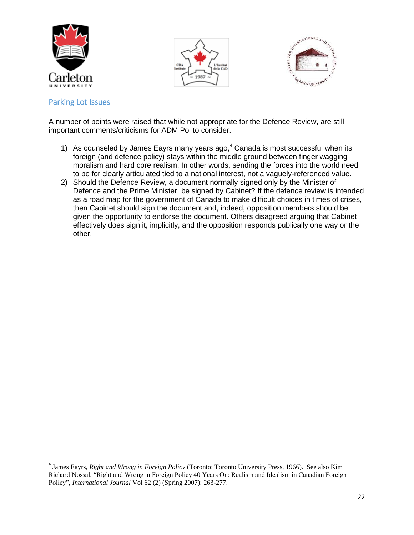





#### <span id="page-21-0"></span>Parking Lot Issues

 $\overline{\phantom{a}}$ 

A number of points were raised that while not appropriate for the Defence Review, are still important comments/criticisms for ADM Pol to consider.

- 1) As counseled by James Eayrs many years ago,  $4$  Canada is most successful when its foreign (and defence policy) stays within the middle ground between finger wagging moralism and hard core realism. In other words, sending the forces into the world need to be for clearly articulated tied to a national interest, not a vaguely-referenced value.
- 2) Should the Defence Review, a document normally signed only by the Minister of Defence and the Prime Minister, be signed by Cabinet? If the defence review is intended as a road map for the government of Canada to make difficult choices in times of crises, then Cabinet should sign the document and, indeed, opposition members should be given the opportunity to endorse the document. Others disagreed arguing that Cabinet effectively does sign it, implicitly, and the opposition responds publically one way or the other.

<sup>4</sup> James Eayrs, *Right and Wrong in Foreign Policy* (Toronto: Toronto University Press, 1966). See also Kim Richard Nossal, "Right and Wrong in Foreign Policy 40 Years On: Realism and Idealism in Canadian Foreign Policy", *International Journal* Vol 62 (2) (Spring 2007): 263-277.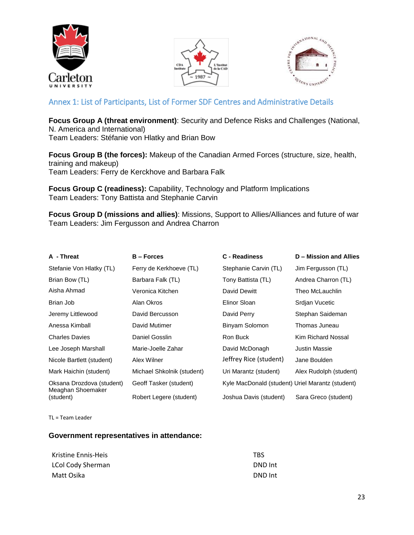





# <span id="page-22-0"></span>Annex 1: List of Participants, List of Former SDF Centres and Administrative Details

**Focus Group A (threat environment)**: Security and Defence Risks and Challenges (National, N. America and International)

Team Leaders: Stéfanie von Hlatky and Brian Bow

**Focus Group B (the forces):** Makeup of the Canadian Armed Forces (structure, size, health, training and makeup) Team Leaders: Ferry de Kerckhove and Barbara Falk

**Focus Group C (readiness):** Capability, Technology and Platform Implications Team Leaders: Tony Battista and Stephanie Carvin

**Focus Group D (missions and allies)**: Missions, Support to Allies/Alliances and future of war Team Leaders: Jim Fergusson and Andrea Charron

| A - Threat                                     | <b>B</b> – Forces          | <b>C</b> - Readiness                             | D - Mission and Allies |
|------------------------------------------------|----------------------------|--------------------------------------------------|------------------------|
| Stefanie Von Hlatky (TL)                       | Ferry de Kerkhoeve (TL)    | Stephanie Carvin (TL)                            | Jim Fergusson (TL)     |
| Brian Bow (TL)                                 | Barbara Falk (TL)          | Tony Battista (TL)                               | Andrea Charron (TL)    |
| Aisha Ahmad                                    | Veronica Kitchen           | David Dewitt                                     | Theo McLauchlin        |
| Brian Job                                      | Alan Okros                 | Elinor Sloan                                     | Srdjan Vucetic         |
| Jeremy Littlewood                              | David Bercusson            | David Perry                                      | Stephan Saideman       |
| Anessa Kimball                                 | David Mutimer              | Binyam Solomon                                   | Thomas Juneau          |
| <b>Charles Davies</b>                          | Daniel Gosslin             | Ron Buck                                         | Kim Richard Nossal     |
| Lee Joseph Marshall                            | Marie-Joelle Zahar         | David McDonagh                                   | Justin Massie          |
| Nicole Bartlett (student)                      | Alex Wilner                | Jeffrey Rice (student)                           | Jane Boulden           |
| Mark Haichin (student)                         | Michael Shkolnik (student) | Uri Marantz (student)                            | Alex Rudolph (student) |
| Oksana Drozdova (student)<br>Meaghan Shoemaker | Geoff Tasker (student)     | Kyle MacDonald (student) Uriel Marantz (student) |                        |
| (student)                                      | Robert Legere (student)    | Joshua Davis (student)                           | Sara Greco (student)   |

TL = Team Leader

#### **Government representatives in attendance:**

| Kristine Ennis-Heis      | TRS.    |
|--------------------------|---------|
| <b>LCol Cody Sherman</b> | DND Int |
| Matt Osika               | DND Int |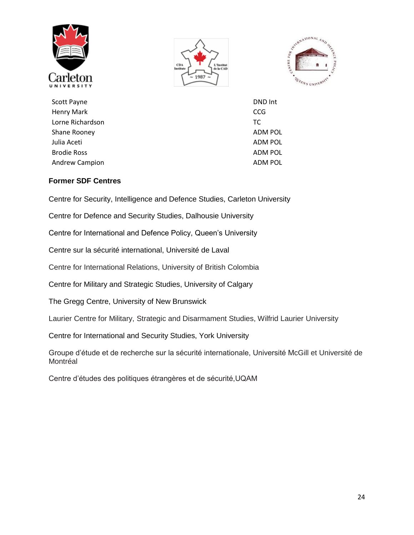





Scott Payne DND Int Henry Mark CCG Lorne Richardson TC Shane Rooney **ADM POL** Shane Rooney Julia Aceti ADM POL Brodie Ross ADM POL Andrew Campion **ADM POL** 

#### **Former SDF Centres**

Centre for Security, Intelligence and Defence Studies, Carleton University

Centre for Defence and Security Studies, Dalhousie University

Centre for International and Defence Policy, Queen's University

Centre sur la sécurité international, Université de Laval

Centre for International Relations, University of British Colombia

Centre for Military and Strategic Studies, University of Calgary

The Gregg Centre, University of New Brunswick

Laurier Centre for Military, Strategic and Disarmament Studies, Wilfrid Laurier University

Centre for International and Security Studies, York University

Groupe d'étude et de recherche sur la sécurité internationale, Université McGill et Université de Montréal

Centre d'études des politiques étrangères et de sécurité,UQAM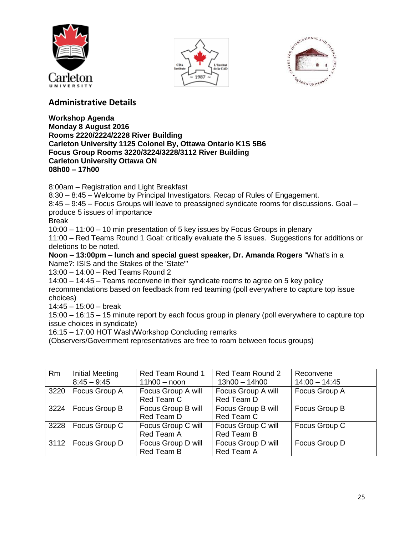





# **Administrative Details**

#### **Workshop Agenda Monday 8 August 2016 Rooms 2220/2224/2228 River Building Carleton University 1125 Colonel By, Ottawa Ontario K1S 5B6 Focus Group Rooms 3220/3224/3228/3112 River Building Carleton University Ottawa ON 08h00 – 17h00**

8:00am – Registration and Light Breakfast

8:30 – 8:45 – Welcome by Principal Investigators. Recap of Rules of Engagement.

8:45 – 9:45 – Focus Groups will leave to preassigned syndicate rooms for discussions. Goal – produce 5 issues of importance

Break

10:00 – 11:00 – 10 min presentation of 5 key issues by Focus Groups in plenary

11:00 – Red Teams Round 1 Goal: critically evaluate the 5 issues. Suggestions for additions or deletions to be noted.

**Noon – 13:00pm – lunch and special guest speaker, Dr. Amanda Rogers** "What's in a Name?: ISIS and the Stakes of the 'State'"

13:00 – 14:00 – Red Teams Round 2

14:00 – 14:45 – Teams reconvene in their syndicate rooms to agree on 5 key policy recommendations based on feedback from red teaming (poll everywhere to capture top issue choices)

14:45 – 15:00 – break

15:00 – 16:15 – 15 minute report by each focus group in plenary (poll everywhere to capture top issue choices in syndicate)

16:15 – 17:00 HOT Wash/Workshop Concluding remarks

(Observers/Government representatives are free to roam between focus groups)

| <b>Rm</b> | <b>Initial Meeting</b> | Red Team Round 1   | Red Team Round 2   | Reconvene       |
|-----------|------------------------|--------------------|--------------------|-----------------|
|           | $8:45 - 9:45$          | $11h00 - noon$     | $13h00 - 14h00$    | $14:00 - 14:45$ |
| 3220      | Focus Group A          | Focus Group A will | Focus Group A will | Focus Group A   |
|           |                        | Red Team C         | Red Team D         |                 |
| 3224      | Focus Group B          | Focus Group B will | Focus Group B will | Focus Group B   |
|           |                        | Red Team D         | Red Team C         |                 |
| 3228      | Focus Group C          | Focus Group C will | Focus Group C will | Focus Group C   |
|           |                        | Red Team A         | Red Team B         |                 |
| 3112      | Focus Group D          | Focus Group D will | Focus Group D will | Focus Group D   |
|           |                        | Red Team B         | Red Team A         |                 |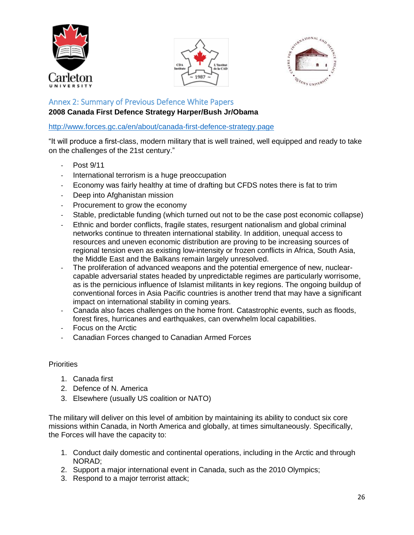





## <span id="page-25-0"></span>Annex 2: Summary of Previous Defence White Papers **2008 Canada First Defence Strategy Harper/Bush Jr/Obama**

<http://www.forces.gc.ca/en/about/canada-first-defence-strategy.page>

"It will produce a first-class, modern military that is well trained, well equipped and ready to take on the challenges of the 21st century."

- Post 9/11
- International terrorism is a huge preoccupation
- Economy was fairly healthy at time of drafting but CFDS notes there is fat to trim
- Deep into Afghanistan mission
- Procurement to grow the economy
- Stable, predictable funding (which turned out not to be the case post economic collapse)
- Ethnic and border conflicts, fragile states, resurgent nationalism and global criminal networks continue to threaten international stability. In addition, unequal access to resources and uneven economic distribution are proving to be increasing sources of regional tension even as existing low-intensity or frozen conflicts in Africa, South Asia, the Middle East and the Balkans remain largely unresolved.
- The proliferation of advanced weapons and the potential emergence of new, nuclearcapable adversarial states headed by unpredictable regimes are particularly worrisome, as is the pernicious influence of Islamist militants in key regions. The ongoing buildup of conventional forces in Asia Pacific countries is another trend that may have a significant impact on international stability in coming years.
- Canada also faces challenges on the home front. Catastrophic events, such as floods, forest fires, hurricanes and earthquakes, can overwhelm local capabilities.
- Focus on the Arctic
- Canadian Forces changed to Canadian Armed Forces

#### **Priorities**

- 1. Canada first
- 2. Defence of N. America
- 3. Elsewhere (usually US coalition or NATO)

The military will deliver on this level of ambition by maintaining its ability to conduct six core missions within Canada, in North America and globally, at times simultaneously. Specifically, the Forces will have the capacity to:

- 1. Conduct daily domestic and continental operations, including in the Arctic and through NORAD;
- 2. Support a major international event in Canada, such as the 2010 Olympics;
- 3. Respond to a major terrorist attack;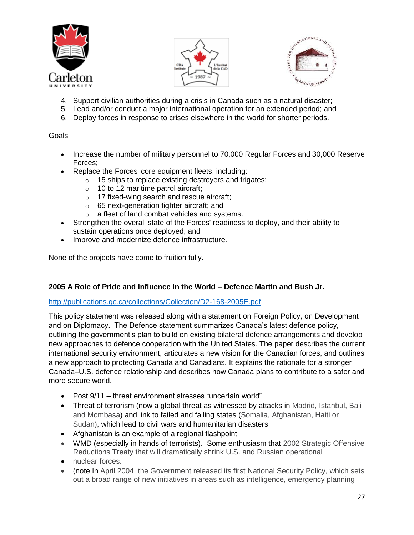





- 4. Support civilian authorities during a crisis in Canada such as a natural disaster;
- 5. Lead and/or conduct a major international operation for an extended period; and
- 6. Deploy forces in response to crises elsewhere in the world for shorter periods.

#### **Goals**

- Increase the number of military personnel to 70,000 Regular Forces and 30,000 Reserve Forces;
- Replace the Forces' core equipment fleets, including:
	- o 15 ships to replace existing destroyers and frigates;
	- $\circ$  10 to 12 maritime patrol aircraft;
	- o 17 fixed-wing search and rescue aircraft;
	- o 65 next-generation fighter aircraft; and
	- o a fleet of land combat vehicles and systems.
- Strengthen the overall state of the Forces' readiness to deploy, and their ability to sustain operations once deployed; and
- Improve and modernize defence infrastructure.

None of the projects have come to fruition fully.

### **2005 A Role of Pride and Influence in the World – Defence Martin and Bush Jr.**

#### <http://publications.gc.ca/collections/Collection/D2-168-2005E.pdf>

This policy statement was released along with a statement on Foreign Policy, on Development and on Diplomacy. The Defence statement summarizes Canada's latest defence policy, outlining the government's plan to build on existing bilateral defence arrangements and develop new approaches to defence cooperation with the United States. The paper describes the current international security environment, articulates a new vision for the Canadian forces, and outlines a new approach to protecting Canada and Canadians. It explains the rationale for a stronger Canada–U.S. defence relationship and describes how Canada plans to contribute to a safer and more secure world.

- Post 9/11 threat environment stresses "uncertain world"
- Threat of terrorism (now a global threat as witnessed by attacks in Madrid, Istanbul, Bali and Mombasa) and link to failed and failing states (Somalia, Afghanistan, Haiti or Sudan), which lead to civil wars and humanitarian disasters
- Afghanistan is an example of a regional flashpoint
- WMD (especially in hands of terrorists). Some enthusiasm that 2002 Strategic Offensive Reductions Treaty that will dramatically shrink U.S. and Russian operational
- nuclear forces.
- (note In April 2004, the Government released its first National Security Policy, which sets out a broad range of new initiatives in areas such as intelligence, emergency planning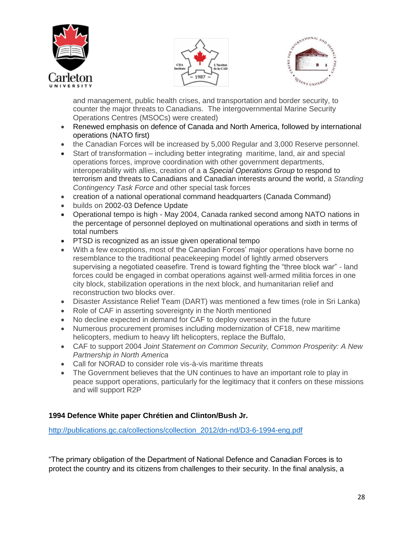





and management, public health crises, and transportation and border security, to counter the major threats to Canadians. The intergovernmental Marine Security Operations Centres (MSOCs) were created)

- Renewed emphasis on defence of Canada and North America, followed by international operations (NATO first)
- the Canadian Forces will be increased by 5,000 Regular and 3,000 Reserve personnel.
- Start of transformation including better integrating maritime, land, air and special operations forces, improve coordination with other government departments, interoperability with allies, creation of a a *Special Operations Group* to respond to terrorism and threats to Canadians and Canadian interests around the world, a *Standing Contingency Task Force* and other special task forces
- creation of a national operational command headquarters (Canada Command)
- builds on 2002-03 Defence Update
- Operational tempo is high May 2004, Canada ranked second among NATO nations in the percentage of personnel deployed on multinational operations and sixth in terms of total numbers
- PTSD is recognized as an issue given operational tempo
- With a few exceptions, most of the Canadian Forces' major operations have borne no resemblance to the traditional peacekeeping model of lightly armed observers supervising a negotiated ceasefire. Trend is toward fighting the "three block war" - land forces could be engaged in combat operations against well-armed militia forces in one city block, stabilization operations in the next block, and humanitarian relief and reconstruction two blocks over.
- Disaster Assistance Relief Team (DART) was mentioned a few times (role in Sri Lanka)
- Role of CAF in asserting sovereignty in the North mentioned
- No decline expected in demand for CAF to deploy overseas in the future
- Numerous procurement promises including modernization of CF18, new maritime helicopters, medium to heavy lift helicopters, replace the Buffalo,
- CAF to support 2004 *Joint Statement on Common Security, Common Prosperity: A New Partnership in North America*
- Call for NORAD to consider role vis-à-vis maritime threats
- The Government believes that the UN continues to have an important role to play in peace support operations, particularly for the legitimacy that it confers on these missions and will support R2P

### **1994 Defence White paper Chrétien and Clinton/Bush Jr.**

[http://publications.gc.ca/collections/collection\\_2012/dn-nd/D3-6-1994-eng.pdf](http://publications.gc.ca/collections/collection_2012/dn-nd/D3-6-1994-eng.pdf)

"The primary obligation of the Department of National Defence and Canadian Forces is to protect the country and its citizens from challenges to their security. In the final analysis, a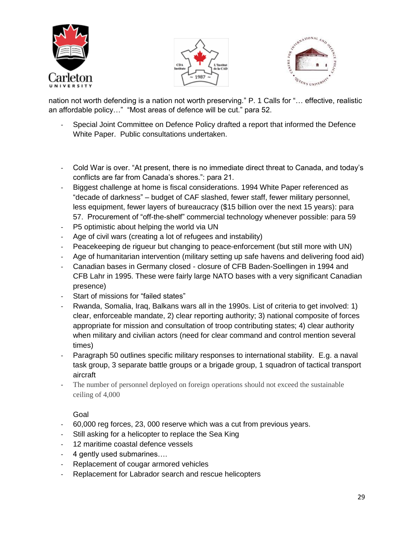





nation not worth defending is a nation not worth preserving." P. 1 Calls for "… effective, realistic an affordable policy…" "Most areas of defence will be cut." para 52.

- Special Joint Committee on Defence Policy drafted a report that informed the Defence White Paper. Public consultations undertaken.
- Cold War is over. "At present, there is no immediate direct threat to Canada, and today's conflicts are far from Canada's shores.": para 21.
- Biggest challenge at home is fiscal considerations. 1994 White Paper referenced as "decade of darkness" – budget of CAF slashed, fewer staff, fewer military personnel, less equipment, fewer layers of bureaucracy (\$15 billion over the next 15 years): para 57. Procurement of "off-the-shelf" commercial technology whenever possible: para 59
- P5 optimistic about helping the world via UN
- Age of civil wars (creating a lot of refugees and instability)
- Peacekeeping de rigueur but changing to peace-enforcement (but still more with UN)
- Age of humanitarian intervention (military setting up safe havens and delivering food aid)
- Canadian bases in Germany closed closure of CFB Baden-Soellingen in 1994 and CFB Lahr in 1995. These were fairly large NATO bases with a very significant Canadian presence)
- Start of missions for "failed states"
- Rwanda, Somalia, Iraq, Balkans wars all in the 1990s. List of criteria to get involved: 1) clear, enforceable mandate, 2) clear reporting authority; 3) national composite of forces appropriate for mission and consultation of troop contributing states; 4) clear authority when military and civilian actors (need for clear command and control mention several times)
- Paragraph 50 outlines specific military responses to international stability. E.g. a naval task group, 3 separate battle groups or a brigade group, 1 squadron of tactical transport aircraft
- The number of personnel deployed on foreign operations should not exceed the sustainable ceiling of 4,000

#### Goal

- 60,000 reg forces, 23, 000 reserve which was a cut from previous years.
- Still asking for a helicopter to replace the Sea King
- 12 maritime coastal defence vessels
- 4 gently used submarines….
- Replacement of cougar armored vehicles
- Replacement for Labrador search and rescue helicopters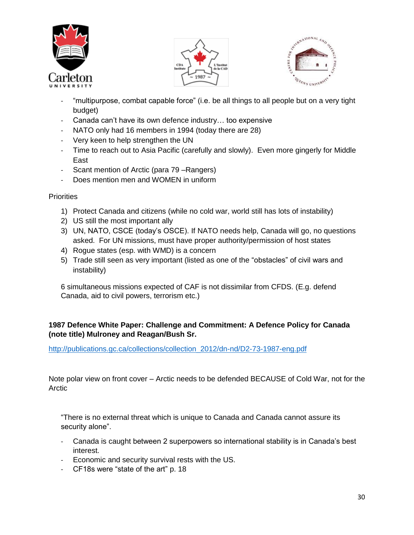





- "multipurpose, combat capable force" (i.e. be all things to all people but on a very tight budget)
- Canada can't have its own defence industry… too expensive
- NATO only had 16 members in 1994 (today there are 28)
- Very keen to help strengthen the UN
- Time to reach out to Asia Pacific (carefully and slowly). Even more gingerly for Middle East
- Scant mention of Arctic (para 79 Rangers)
- Does mention men and WOMEN in uniform

#### **Priorities**

- 1) Protect Canada and citizens (while no cold war, world still has lots of instability)
- 2) US still the most important ally
- 3) UN, NATO, CSCE (today's OSCE). If NATO needs help, Canada will go, no questions asked. For UN missions, must have proper authority/permission of host states
- 4) Rogue states (esp. with WMD) is a concern
- 5) Trade still seen as very important (listed as one of the "obstacles" of civil wars and instability)

6 simultaneous missions expected of CAF is not dissimilar from CFDS. (E.g. defend Canada, aid to civil powers, terrorism etc.)

#### **1987 Defence White Paper: Challenge and Commitment: A Defence Policy for Canada (note title) Mulroney and Reagan/Bush Sr.**

[http://publications.gc.ca/collections/collection\\_2012/dn-nd/D2-73-1987-eng.pdf](http://publications.gc.ca/collections/collection_2012/dn-nd/D2-73-1987-eng.pdf)

Note polar view on front cover – Arctic needs to be defended BECAUSE of Cold War, not for the Arctic

"There is no external threat which is unique to Canada and Canada cannot assure its security alone".

- Canada is caught between 2 superpowers so international stability is in Canada's best interest.
- Economic and security survival rests with the US.
- CF18s were "state of the art" p. 18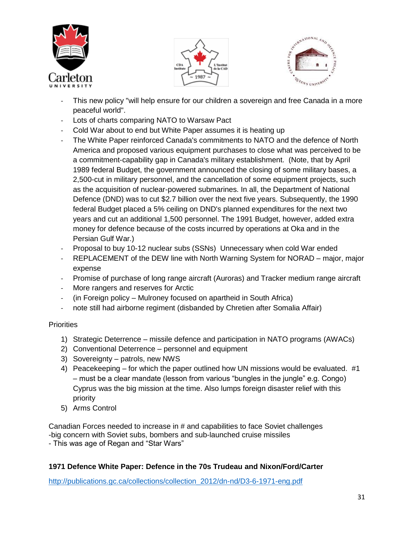





- This new policy "will help ensure for our children a sovereign and free Canada in a more peaceful world".
- Lots of charts comparing NATO to Warsaw Pact
- Cold War about to end but White Paper assumes it is heating up
- The White Paper reinforced Canada's commitments to NATO and the defence of North America and proposed various equipment purchases to close what was perceived to be a commitment-capability gap in Canada's military establishment. (Note, that by April 1989 federal Budget, the government announced the closing of some military bases, a 2,500-cut in military personnel, and the cancellation of some equipment projects, such as the acquisition of nuclear-powered submarines. In all, the Department of National Defence (DND) was to cut \$2.7 billion over the next five years. Subsequently, the 1990 federal Budget placed a 5% ceiling on DND's planned expenditures for the next two years and cut an additional 1,500 personnel. The 1991 Budget, however, added extra money for defence because of the costs incurred by operations at Oka and in the Persian Gulf War.)
- Proposal to buy 10-12 nuclear subs (SSNs) Unnecessary when cold War ended
- REPLACEMENT of the DEW line with North Warning System for NORAD major, major expense
- Promise of purchase of long range aircraft (Auroras) and Tracker medium range aircraft
- More rangers and reserves for Arctic
- (in Foreign policy Mulroney focused on apartheid in South Africa)
- note still had airborne regiment (disbanded by Chretien after Somalia Affair)

### **Priorities**

- 1) Strategic Deterrence missile defence and participation in NATO programs (AWACs)
- 2) Conventional Deterrence personnel and equipment
- 3) Sovereignty patrols, new NWS
- 4) Peacekeeping for which the paper outlined how UN missions would be evaluated. #1 – must be a clear mandate (lesson from various "bungles in the jungle" e.g. Congo) Cyprus was the big mission at the time. Also lumps foreign disaster relief with this priority
- 5) Arms Control

Canadian Forces needed to increase in # and capabilities to face Soviet challenges -big concern with Soviet subs, bombers and sub-launched cruise missiles - This was age of Regan and "Star Wars"

# **1971 Defence White Paper: Defence in the 70s Trudeau and Nixon/Ford/Carter**

[http://publications.gc.ca/collections/collection\\_2012/dn-nd/D3-6-1971-eng.pdf](http://publications.gc.ca/collections/collection_2012/dn-nd/D3-6-1971-eng.pdf)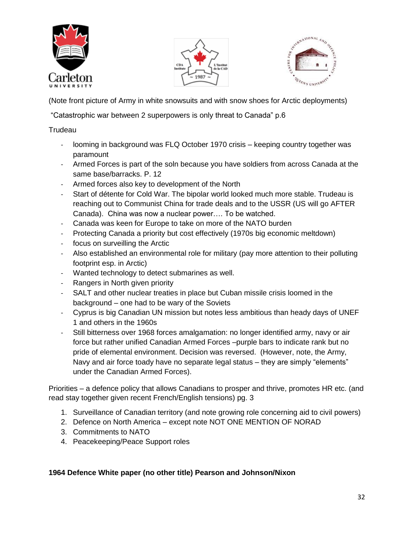





(Note front picture of Army in white snowsuits and with snow shoes for Arctic deployments)

"Catastrophic war between 2 superpowers is only threat to Canada" p.6

#### **Trudeau**

- looming in background was FLQ October 1970 crisis keeping country together was paramount
- Armed Forces is part of the soln because you have soldiers from across Canada at the same base/barracks. P. 12
- Armed forces also key to development of the North
- Start of détente for Cold War. The bipolar world looked much more stable. Trudeau is reaching out to Communist China for trade deals and to the USSR (US will go AFTER Canada). China was now a nuclear power…. To be watched.
- Canada was keen for Europe to take on more of the NATO burden
- Protecting Canada a priority but cost effectively (1970s big economic meltdown)
- focus on surveilling the Arctic
- Also established an environmental role for military (pay more attention to their polluting footprint esp. in Arctic)
- Wanted technology to detect submarines as well.
- Rangers in North given priority
- SALT and other nuclear treaties in place but Cuban missile crisis loomed in the background – one had to be wary of the Soviets
- Cyprus is big Canadian UN mission but notes less ambitious than heady days of UNEF 1 and others in the 1960s
- Still bitterness over 1968 forces amalgamation: no longer identified army, navy or air force but rather unified Canadian Armed Forces –purple bars to indicate rank but no pride of elemental environment. Decision was reversed. (However, note, the Army, Navy and air force toady have no separate legal status – they are simply "elements" under the Canadian Armed Forces).

Priorities – a defence policy that allows Canadians to prosper and thrive, promotes HR etc. (and read stay together given recent French/English tensions) pg. 3

- 1. Surveillance of Canadian territory (and note growing role concerning aid to civil powers)
- 2. Defence on North America except note NOT ONE MENTION OF NORAD
- 3. Commitments to NATO
- 4. Peacekeeping/Peace Support roles

### **1964 Defence White paper (no other title) Pearson and Johnson/Nixon**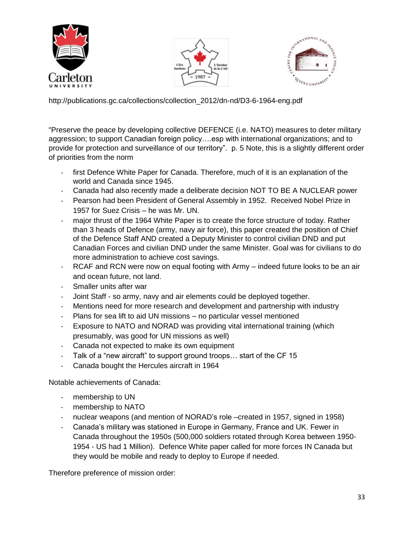





http://publications.gc.ca/collections/collection\_2012/dn-nd/D3-6-1964-eng.pdf

"Preserve the peace by developing collective DEFENCE (i.e. NATO) measures to deter military aggression; to support Canadian foreign policy….esp with international organizations; and to provide for protection and surveillance of our territory". p. 5 Note, this is a slightly different order of priorities from the norm

- first Defence White Paper for Canada. Therefore, much of it is an explanation of the world and Canada since 1945.
- Canada had also recently made a deliberate decision NOT TO BE A NUCLEAR power
- Pearson had been President of General Assembly in 1952. Received Nobel Prize in 1957 for Suez Crisis – he was Mr. UN.
- major thrust of the 1964 White Paper is to create the force structure of today. Rather than 3 heads of Defence (army, navy air force), this paper created the position of Chief of the Defence Staff AND created a Deputy Minister to control civilian DND and put Canadian Forces and civilian DND under the same Minister. Goal was for civilians to do more administration to achieve cost savings.
- RCAF and RCN were now on equal footing with Army indeed future looks to be an air and ocean future, not land.
- Smaller units after war
- Joint Staff so army, navy and air elements could be deployed together.
- Mentions need for more research and development and partnership with industry
- Plans for sea lift to aid UN missions no particular vessel mentioned
- Exposure to NATO and NORAD was providing vital international training (which presumably, was good for UN missions as well)
- Canada not expected to make its own equipment
- Talk of a "new aircraft" to support ground troops... start of the CF 15
- Canada bought the Hercules aircraft in 1964

Notable achievements of Canada:

- membership to UN
- membership to NATO
- nuclear weapons (and mention of NORAD's role –created in 1957, signed in 1958)
- Canada's military was stationed in Europe in Germany, France and UK. Fewer in Canada throughout the 1950s (500,000 soldiers rotated through Korea between 1950- 1954 - US had 1 Million). Defence White paper called for more forces IN Canada but they would be mobile and ready to deploy to Europe if needed.

Therefore preference of mission order: